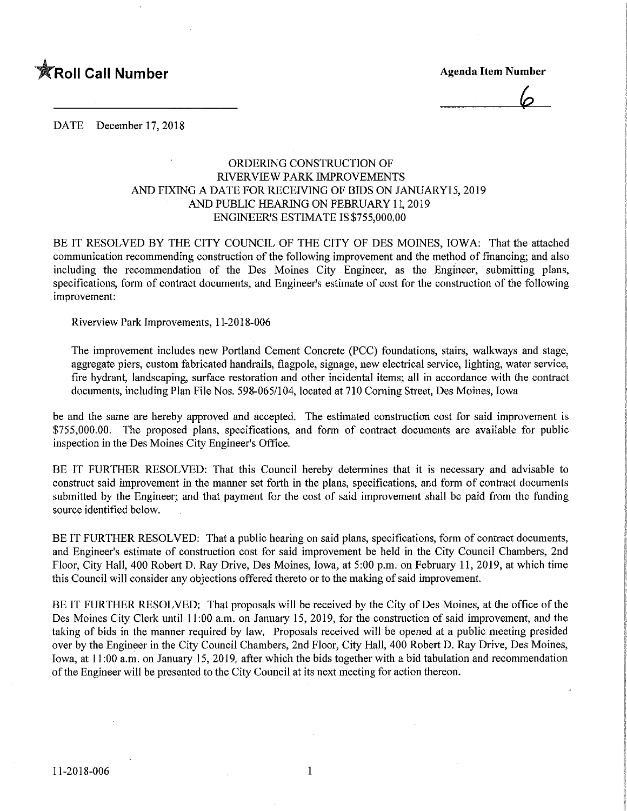

 $\varphi$ 

DATE December 17, 2018

## ORDERING CONSTRUCTION OF RIVERVIEW PARK IMPROVEMENTS AND FIXING A DATE FOR RECEIVING OF BIDS ON JANUARY15, 2019 AND PUBLIC HEARING ON FEBRUARY 11,2019 ENGINEER'S ESTIMATE IS \$755,000.00

BE IT RESOLVED BY THE CITY COUNCIL OF THE CITY OF DES MOINES, IOWA; That the attached communication recommending construction of the following improvement and the method of financing; and also including the recommendation of the Des Moines City Engineer, as the Engineer, submitting plans, specifications, form of contract documents, and Engineer's estimate of cost for the construction of the following improvement:

Riverview Park Improvements, 11-2018-006

The improvement includes new Portland Cement Concrete (PCC) foundations, stairs, walkways and stage, aggregate piers, custom fabricated handrails, flagpole, signage, new electrical service, lighting, water service, fire hydrant, landscaping, surface restoration and other incidental items; all in accordance with the contract documents, including Plan File Nos. 598-065/104, located at 710 Corning Street, Des Moines, Iowa

be and the same are hereby approved and accepted. The estimated construction cost for said improvement is \$755,000.00. The proposed plans, specifications, and form of contract documents are available for public inspection in the Des Moines City Engineer's Office.

BE IT FURTHER RESOLVED: That this Council hereby determines that it is necessary and advisable to construct said improvement in the manner set forth in the plans, specifications, and form of contract documents submitted by the Engineer; and that payment for the cost of said improvement shall be paid from the funding source identified below.

BE IT FURTHER RESOLVED: That a public hearing on said plans, specifications, form of contract documents, and Engineer's estimate of construction cost for said improvement be held in the City Council Chambers, 2nd Floor, City Hall, 400 Robert D. Ray Drive, Des Moines, Iowa, at 5:00 p.m. on February 11, 2019, at which time this Council will consider any objections offered thereto or to the making of said improvement.

BE IT FURTHER RESOLVED: That proposals will be received by the City of Des Moines, at the office of the Des Moines City Clerk until 11:00 a.m. on January 15, 2019, for the construction of said improvement, and the taking of bids in the manner required by law. Proposals received will be opened at a public meeting presided over by the Engineer in the City Council Chambers, 2nd Floor, City Hall, 400 Robert D. Ray Drive, Des Moines, Iowa, at 11:00 a.m. on January 15, 2019, after which the bids together with a bid tabulation and recommendation of the Engineer will be presented to the City Council at its next meeting for action thereon.

 $\mathbf{1}$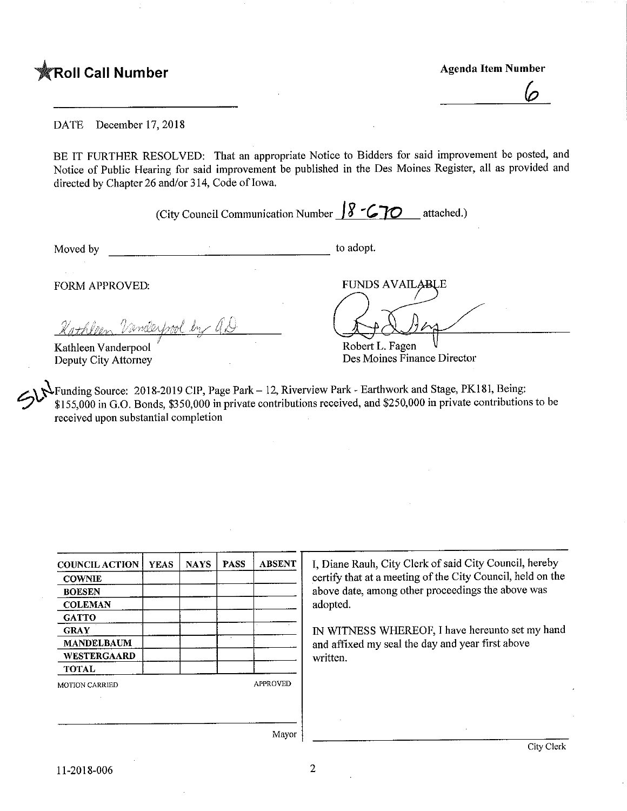**TRoll Call Number** Agenda Item Number

 $\mathcal{\underline{\mathcal{O}}}_{-}$ 

DATE December 17,2018

BE IT FURTHER RESOLVED: That an appropriate Notice to Bidders for said improvement be posted, and Notice of Public Hearing for said improvement be published in the Des Moines Register, all as provided and directed by Chapter 26 and/or 314, Code of Iowa.

(City Council Communication Number  $\sqrt{8-C}$  TO attached.)

Moved by to adopt.

 $\triangleleft$ Robert L. Fagen

**FUNDS AVAILABLE** 

Des Moines Finance Director

FORM APPROVED:

 $\omega$ mbertwol tn  $\overline{f}$ 

Kathleen Vanderpool Deputy City Attorney

•Funding Source: 2018-2019 CIP, Page Park - 12, Riverview Park - Earthwork and Stage, PK181, Being: \$155,000 in G.O. Bonds, \$350,000 in private contributions received, and \$250,000 in private contributions to be received upon substantial completion

| <b>COUNCIL ACTION</b> | <b>YEAS</b> | <b>NAYS</b> | <b>PASS</b> | <b>ABSENT</b>   |  |  |
|-----------------------|-------------|-------------|-------------|-----------------|--|--|
| <b>COWNIE</b>         |             |             |             |                 |  |  |
| <b>BOESEN</b>         |             |             |             |                 |  |  |
| <b>COLEMAN</b>        |             |             |             |                 |  |  |
| <b>GATTO</b>          |             |             |             |                 |  |  |
| <b>GRAY</b>           |             |             |             |                 |  |  |
| <b>MANDELBAUM</b>     |             |             |             |                 |  |  |
| WESTERGAARD           |             |             |             |                 |  |  |
| <b>TOTAL</b>          |             |             |             |                 |  |  |
| <b>MOTION CARRIED</b> |             |             |             | <b>APPROVED</b> |  |  |
|                       |             |             |             |                 |  |  |
|                       |             |             |             |                 |  |  |

I, Diane Rauh, City Clerk of said City Council, hereby certify that at a meeting of the City Council, held on the above date, among other proceedings the above was adopted.

IN WITNESS WHEREOF, I have hereunto set my hand and affixed my seal the day and year first above written.

Mayor